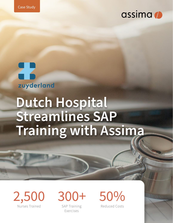





# **Dutch Hospital Streamlines SAP Training with Assima**



SAP Training Exercises

Reduced Costs

a a a an an an Tìreachd ann an 19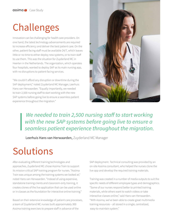### Challenges

Innovation can be challenging for health care providers. On one hand, the latest technology advancements are required to increase efficiency and deliver the best patient care. On the other, patient-facing staff must be available 24/7, which leaves little or no time to either deploy new systems, or to train staff to use them. This was the situation for Zuyderland MC in Heerlen in the Netherlands. The organization, which operates four hospitals, wanted to deploy SAP as its main nursing app, with no disruptions to patient-facing services.

"We couldn't afford any disruption or downtime during the SAP deployment," noted Zuyderland MC Manager, Leerhuis Hans van Herwaarden. "Equally importantly, we needed to train 2,500 nursing staff to start working with the new SAP systems before going live to ensure a seamless patient experience throughout the migration."



 *We needed to train 2,500 nursing staff to start working with the new SAP systems before going live to ensure a seamless patient experience throughout the migration.*

Leerhuis Hans van Herwaarden, Zuyderland MC Manager

## Solutions

After evaluating different training technologies and approaches, Zuyderland MC chose Assima Train to support its mission critical SAP training program for nurses. "Assima Train was unique among the training systems we looked at," noted Hans van Herwaarden. "Instead of using expensive, standalone training clients and classroom-only training, it creates clones of the live application that can be used online or in classes as the foundation for interactive online training."

Based on their extensive knowledge of patient care processes, a team of Zuyderland MC nurses built approximately 300 Assima training exercises to prepare staff in advance of the

SAP deployment. Technical consulting was provided by an on-site Assima consultant, who helped the nurses clone the live app and develop the required training materials.

Training was created in a number of media outputs to suit the specific needs of different employee types and demographics. "Some of our nurses respond better to printed training materials, while others want to watch videos or take interactive classes online," said Hans van Herwaarden. "With Assima, we've been able to create great multimedia training resources – all stored in a single, centralized, easy-to-maintain system."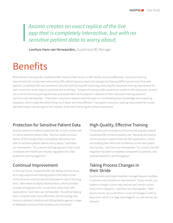### *Assima creates an exact replica of the live app that is completely interactive, but with no sensitive patient data to worry about.*

Leerhuis Hans van Herwaarden, Zuyderland MC Manager

### Benefits

With Assima Training Suite, Zuyderland MC trained 2,500 nurses on SAP rapidly and cost effectively. Classroom training requirements for nurses were reduced by 50%, delivering associated cost savings and freeing staff to spend more time with patients. Zuyderland MC has combined instructor-led training with eLearning, reducing the classroom training requirement for each nurse from seven days to just three and a half days. "Instead of training 2,500 nurses from scratch in the classroom, we sent out a link to Assima eLearning exercises and asked them all to prepare in advance of their classroom training sessions", said Hans van Herwaarden. "That meant classroom sessions were focused on consolidating their knowledge and answering questions, which made the whole thing much faster and more efficient." Having the classroom training requirement for nurses delivered major cost savings for the hospital, while also improving the patient experience.

#### Protection for Sensitive Patient Data

Assima solutions enabled Zuyderland MC to train nurses with no risk to sensitive patient data. "Assima creates an exact replica of the live app that is completely interactive, but with no sensitive patient data to worry about," said Hans van Herwaarden. "It's a secure training approach that is also compliant with healthcare industry regulations for data protection and management."

#### Continual Improvement

In the near future, Zuyderland MC will deploy Assima Assist, an in-app support and training system that helps nurses minimize errors and provide the best patient care in the long term. "We're keen to deploy Assima Assist, which provides prompts and guidance for nurses from within their SAP applications," said Hans van Herwaarden. "As well as helping them complete tasks more efficiently, the technology also checks customer's medical and billing details against a range of databases to ensure that mistakes are minimized."

#### High-Quality, Effective Training

The quality and consistency of Assima training also helped Zuyderland MC enhance patient care. "Because the Assima clones are exact copies of the live SAP application, nurses are building their skills and confidence on the new system very quickly," said Hans van Herwaarden. "As a result, the SAP migration has been completely transparent to patients, who received excellent care throughout."

#### Taking Process Changes in their Stride

Assima Assist also helps hospitals manage frequent updates in process and compliance requirements. "Every month, our systems change in some way, and we can't retrain nurses every time it happens," said Hans van Herwaarden. "With Assima Assist, we could inform nurses of changes in SAP as they work, which is a huge advantage for us, and also for our patients."